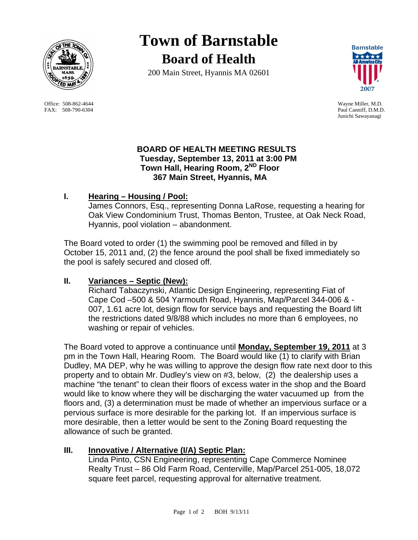

Office: 508-862-4644 Wayne Miller, M.D. FAX: 508-790-6304 Paul Canniff, D.M.D.

**Town of Barnstable Board of Health**

200 Main Street, Hyannis MA 02601



Junichi Sawayanagi

#### **BOARD OF HEALTH MEETING RESULTS Tuesday, September 13, 2011 at 3:00 PM Town Hall, Hearing Room, 2ND Floor 367 Main Street, Hyannis, MA**

# **I. Hearing – Housing / Pool:**

 James Connors, Esq., representing Donna LaRose, requesting a hearing for Oak View Condominium Trust, Thomas Benton, Trustee, at Oak Neck Road, Hyannis, pool violation – abandonment.

The Board voted to order (1) the swimming pool be removed and filled in by October 15, 2011 and, (2) the fence around the pool shall be fixed immediately so the pool is safely secured and closed off.

# **II. Variances – Septic (New):**

Richard Tabaczynski, Atlantic Design Engineering, representing Fiat of Cape Cod –500 & 504 Yarmouth Road, Hyannis, Map/Parcel 344-006 & - 007, 1.61 acre lot, design flow for service bays and requesting the Board lift the restrictions dated 9/8/88 which includes no more than 6 employees, no washing or repair of vehicles.

The Board voted to approve a continuance until **Monday, September 19, 2011** at 3 pm in the Town Hall, Hearing Room. The Board would like (1) to clarify with Brian Dudley, MA DEP, why he was willing to approve the design flow rate next door to this property and to obtain Mr. Dudley's view on #3, below, (2) the dealership uses a machine "the tenant" to clean their floors of excess water in the shop and the Board would like to know where they will be discharging the water vacuumed up from the floors and, (3) a determination must be made of whether an impervious surface or a pervious surface is more desirable for the parking lot. If an impervious surface is more desirable, then a letter would be sent to the Zoning Board requesting the allowance of such be granted.

# **III. Innovative / Alternative (I/A) Septic Plan:**

Linda Pinto, CSN Engineering, representing Cape Commerce Nominee Realty Trust – 86 Old Farm Road, Centerville, Map/Parcel 251-005, 18,072 square feet parcel, requesting approval for alternative treatment.